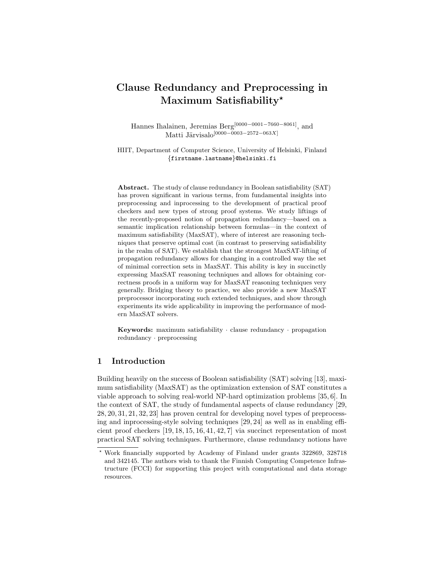# Clause Redundancy and Preprocessing in Maximum Satisfiability\*

Hannes Ihalainen, Jeremias Berg[0000−0001−7660−8061], and Matti Järvisalo $[0000-\stackrel{\vee}{0}003-2572-063X]$ 

HIIT, Department of Computer Science, University of Helsinki, Finland {firstname.lastname}@helsinki.fi

Abstract. The study of clause redundancy in Boolean satisfiability (SAT) has proven significant in various terms, from fundamental insights into preprocessing and inprocessing to the development of practical proof checkers and new types of strong proof systems. We study liftings of the recently-proposed notion of propagation redundancy—based on a semantic implication relationship between formulas—in the context of maximum satisfiability (MaxSAT), where of interest are reasoning techniques that preserve optimal cost (in contrast to preserving satisfiability in the realm of SAT). We establish that the strongest MaxSAT-lifting of propagation redundancy allows for changing in a controlled way the set of minimal correction sets in MaxSAT. This ability is key in succinctly expressing MaxSAT reasoning techniques and allows for obtaining correctness proofs in a uniform way for MaxSAT reasoning techniques very generally. Bridging theory to practice, we also provide a new MaxSAT preprocessor incorporating such extended techniques, and show through experiments its wide applicability in improving the performance of modern MaxSAT solvers.

**Keywords:** maximum satisfiability  $\cdot$  clause redundancy  $\cdot$  propagation redundancy · preprocessing

# 1 Introduction

Building heavily on the success of Boolean satisfiability (SAT) solving [13], maximum satisfiability (MaxSAT) as the optimization extension of SAT constitutes a viable approach to solving real-world NP-hard optimization problems [35, 6]. In the context of SAT, the study of fundamental aspects of clause redundancy [29, 28, 20, 31, 21, 32, 23] has proven central for developing novel types of preprocessing and inprocessing-style solving techniques [29, 24] as well as in enabling efficient proof checkers [19, 18, 15, 16, 41, 42, 7] via succinct representation of most practical SAT solving techniques. Furthermore, clause redundancy notions have

<sup>?</sup> Work financially supported by Academy of Finland under grants 322869, 328718 and 342145. The authors wish to thank the Finnish Computing Competence Infrastructure (FCCI) for supporting this project with computational and data storage resources.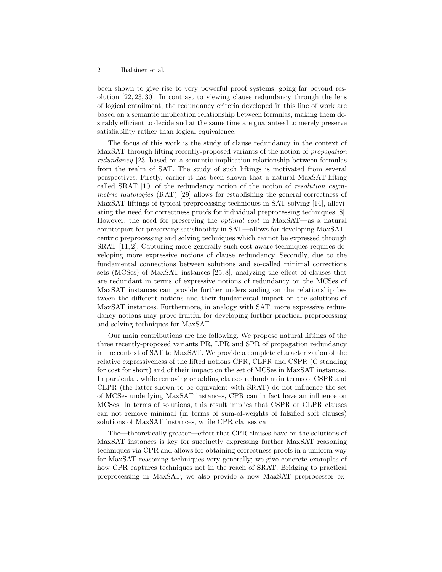been shown to give rise to very powerful proof systems, going far beyond resolution [22, 23, 30]. In contrast to viewing clause redundancy through the lens of logical entailment, the redundancy criteria developed in this line of work are based on a semantic implication relationship between formulas, making them desirably efficient to decide and at the same time are guaranteed to merely preserve satisfiability rather than logical equivalence.

The focus of this work is the study of clause redundancy in the context of MaxSAT through lifting recently-proposed variants of the notion of propagation redundancy [23] based on a semantic implication relationship between formulas from the realm of SAT. The study of such liftings is motivated from several perspectives. Firstly, earlier it has been shown that a natural MaxSAT-lifting called SRAT [10] of the redundancy notion of the notion of resolution asymmetric tautologies (RAT) [29] allows for establishing the general correctness of MaxSAT-liftings of typical preprocessing techniques in SAT solving [14], alleviating the need for correctness proofs for individual preprocessing techniques [8]. However, the need for preserving the optimal cost in MaxSAT—as a natural counterpart for preserving satisfiability in SAT—allows for developing MaxSATcentric preprocessing and solving techniques which cannot be expressed through SRAT [11, 2]. Capturing more generally such cost-aware techniques requires developing more expressive notions of clause redundancy. Secondly, due to the fundamental connections between solutions and so-called minimal corrections sets (MCSes) of MaxSAT instances [25, 8], analyzing the effect of clauses that are redundant in terms of expressive notions of redundancy on the MCSes of MaxSAT instances can provide further understanding on the relationship between the different notions and their fundamental impact on the solutions of MaxSAT instances. Furthermore, in analogy with SAT, more expressive redundancy notions may prove fruitful for developing further practical preprocessing and solving techniques for MaxSAT.

Our main contributions are the following. We propose natural liftings of the three recently-proposed variants PR, LPR and SPR of propagation redundancy in the context of SAT to MaxSAT. We provide a complete characterization of the relative expressiveness of the lifted notions CPR, CLPR and CSPR (C standing for cost for short) and of their impact on the set of MCSes in MaxSAT instances. In particular, while removing or adding clauses redundant in terms of CSPR and CLPR (the latter shown to be equivalent with SRAT) do not influence the set of MCSes underlying MaxSAT instances, CPR can in fact have an influence on MCSes. In terms of solutions, this result implies that CSPR or CLPR clauses can not remove minimal (in terms of sum-of-weights of falsified soft clauses) solutions of MaxSAT instances, while CPR clauses can.

The—theoretically greater—effect that CPR clauses have on the solutions of MaxSAT instances is key for succinctly expressing further MaxSAT reasoning techniques via CPR and allows for obtaining correctness proofs in a uniform way for MaxSAT reasoning techniques very generally; we give concrete examples of how CPR captures techniques not in the reach of SRAT. Bridging to practical preprocessing in MaxSAT, we also provide a new MaxSAT preprocessor ex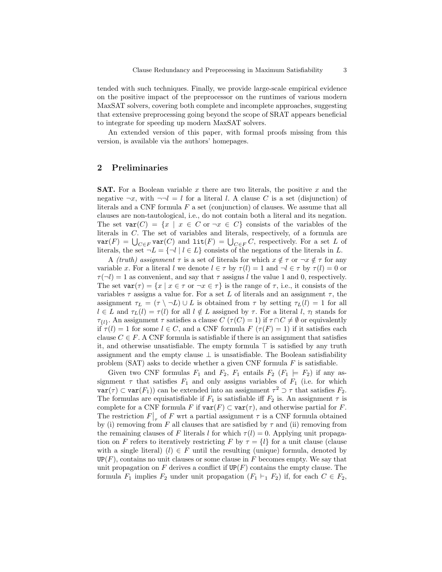tended with such techniques. Finally, we provide large-scale empirical evidence on the positive impact of the preprocessor on the runtimes of various modern MaxSAT solvers, covering both complete and incomplete approaches, suggesting that extensive preprocessing going beyond the scope of SRAT appears beneficial to integrate for speeding up modern MaxSAT solvers.

An extended version of this paper, with formal proofs missing from this version, is available via the authors' homepages.

# 2 Preliminaries

**SAT.** For a Boolean variable x there are two literals, the positive x and the negative  $\neg x$ , with  $\neg \neg l = l$  for a literal l. A clause C is a set (disjunction) of literals and a CNF formula  $F$  a set (conjunction) of clauses. We assume that all clauses are non-tautological, i.e., do not contain both a literal and its negation. The set  $var(C) = \{x \mid x \in C \text{ or } \neg x \in C\}$  consists of the variables of the literals in C. The set of variables and literals, respectively, of a formula are  $var(F) = \bigcup_{C \in F} var(C)$  and  $\text{lit}(F) = \bigcup_{C \in F} C$ , respectively. For a set L of literals, the set  $\neg L = \{\neg l \mid l \in L\}$  consists of the negations of the literals in L.

A *(truth)* assignment  $\tau$  is a set of literals for which  $x \notin \tau$  or  $\neg x \notin \tau$  for any variable x. For a literal l we denote  $l \in \tau$  by  $\tau(l) = 1$  and  $\neg l \in \tau$  by  $\tau(l) = 0$  or  $\tau(\neg l) = 1$  as convenient, and say that  $\tau$  assigns l the value 1 and 0, respectively. The set  $var(\tau) = \{x \mid x \in \tau \text{ or } \neg x \in \tau\}$  is the range of  $\tau$ , i.e., it consists of the variables  $\tau$  assigns a value for. For a set L of literals and an assignment  $\tau$ , the assignment  $\tau_L = (\tau \setminus \neg L) \cup L$  is obtained from  $\tau$  by setting  $\tau_L(l) = 1$  for all  $l \in L$  and  $\tau_L(l) = \tau(l)$  for all  $l \notin L$  assigned by  $\tau$ . For a literal  $l, \tau_l$  stands for  $\tau_{\{l\}}$ . An assignment  $\tau$  satisfies a clause  $C(\tau(C) = 1)$  if  $\tau \cap C \neq \emptyset$  or equivalently if  $\tau(l) = 1$  for some  $l \in C$ , and a CNF formula  $F(\tau(F) = 1)$  if it satisfies each clause  $C \in F$ . A CNF formula is satisfiable if there is an assignment that satisfies it, and otherwise unsatisfiable. The empty formula  $\top$  is satisfied by any truth assignment and the empty clause  $\perp$  is unsatisfiable. The Boolean satisfiability problem  $(SAT)$  asks to decide whether a given CNF formula  $F$  is satisfiable.

Given two CNF formulas  $F_1$  and  $F_2$ ,  $F_1$  entails  $F_2$  ( $F_1 \models F_2$ ) if any assignment  $\tau$  that satisfies  $F_1$  and only assigns variables of  $F_1$  (i.e. for which  $var(\tau) \subset var(F_1)$  can be extended into an assignment  $\tau^2 \supset \tau$  that satisfies  $F_2$ . The formulas are equisatisfiable if  $F_1$  is satisfiable iff  $F_2$  is. An assignment  $\tau$  is complete for a CNF formula F if  $var(F) \subset var(\tau)$ , and otherwise partial for F. The restriction  $F|_{\tau}$  of F wrt a partial assignment  $\tau$  is a CNF formula obtained by (i) removing from F all clauses that are satisfied by  $\tau$  and (ii) removing from the remaining clauses of F literals l for which  $\tau(l) = 0$ . Applying unit propagation on F refers to iteratively restricting F by  $\tau = \{l\}$  for a unit clause (clause) with a single literal)  $(l) \in F$  until the resulting (unique) formula, denoted by  $UP(F)$ , contains no unit clauses or some clause in F becomes empty. We say that unit propagation on  $F$  derives a conflict if  $UP(F)$  contains the empty clause. The formula  $F_1$  implies  $F_2$  under unit propagation  $(F_1 \vdash_1 F_2)$  if, for each  $C \in F_2$ ,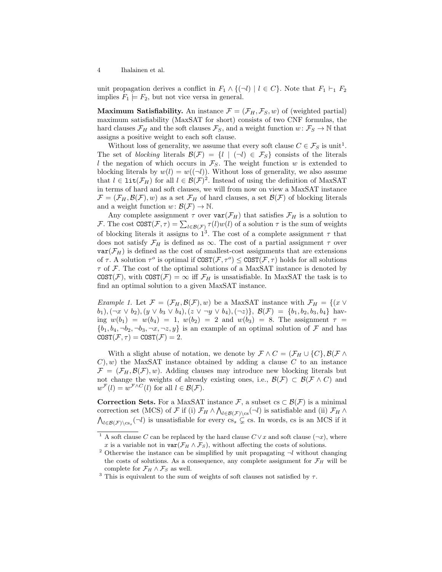unit propagation derives a conflict in  $F_1 \wedge \{(\neg l) \mid l \in C\}$ . Note that  $F_1 \vdash_1 F_2$ implies  $F_1 \models F_2$ , but not vice versa in general.

Maximum Satisfiability. An instance  $\mathcal{F} = (\mathcal{F}_H, \mathcal{F}_S, w)$  of (weighted partial) maximum satisfiability (MaxSAT for short) consists of two CNF formulas, the hard clauses  $\mathcal{F}_H$  and the soft clauses  $\mathcal{F}_S$ , and a weight function  $w: \mathcal{F}_S \to \mathbb{N}$  that assigns a positive weight to each soft clause.

Without loss of generality, we assume that every soft clause  $C \in \mathcal{F}_S$  is unit<sup>1</sup>. The set of blocking literals  $\mathcal{B}(\mathcal{F}) = \{l \mid (\neg l) \in \mathcal{F}_S\}$  consists of the literals l the negation of which occurs in  $\mathcal{F}_S$ . The weight function w is extended to blocking literals by  $w(l) = w((\neg l))$ . Without loss of generality, we also assume that  $l \in \text{lit}(\mathcal{F}_H)$  for all  $l \in \mathcal{B}(\mathcal{F})^2$ . Instead of using the definition of MaxSAT in terms of hard and soft clauses, we will from now on view a MaxSAT instance  $\mathcal{F} = (\mathcal{F}_H, \mathcal{B}(\mathcal{F}), w)$  as a set  $\mathcal{F}_H$  of hard clauses, a set  $\mathcal{B}(\mathcal{F})$  of blocking literals and a weight function  $w: \mathcal{B}(F) \to \mathbb{N}$ .

Any complete assignment  $\tau$  over  $var(\mathcal{F}_H)$  that satisfies  $\mathcal{F}_H$  is a solution to F. The cost  $COST(\mathcal{F}, \tau) = \sum_{l \in \mathcal{B}(\mathcal{F})} \tau(l) w(l)$  of a solution  $\tau$  is the sum of weights of blocking literals it assigns to  $1^3$ . The cost of a complete assignment  $\tau$  that does not satisfy  $\mathcal{F}_H$  is defined as  $\infty$ . The cost of a partial assignment  $\tau$  over  $var(\mathcal{F}_H)$  is defined as the cost of smallest-cost assignments that are extensions of  $\tau$ . A solution  $\tau^o$  is optimal if  $\text{COST}(\mathcal{F}, \tau^o) \leq \text{COST}(\mathcal{F}, \tau)$  holds for all solutions  $\tau$  of F. The cost of the optimal solutions of a MaxSAT instance is denoted by  $COST(\mathcal{F})$ , with  $COST(\mathcal{F}) = \infty$  iff  $\mathcal{F}_H$  is unsatisfiable. In MaxSAT the task is to find an optimal solution to a given MaxSAT instance.

*Example 1.* Let  $\mathcal{F} = (\mathcal{F}_H, \mathcal{B}(\mathcal{F}), w)$  be a MaxSAT instance with  $\mathcal{F}_H = \{(x \vee$  $(b_1), (\neg x \lor b_2), (y \lor b_3 \lor b_4), (z \lor \neg y \lor b_4), (\neg z) \}, \mathcal{B}(\mathcal{F}) = \{b_1, b_2, b_3, b_4\}$  having  $w(b_1) = w(b_4) = 1$ ,  $w(b_2) = 2$  and  $w(b_3) = 8$ . The assignment  $\tau =$  ${b_1, b_4, \neg b_2, \neg b_3, \neg x, \neg z, y}$  is an example of an optimal solution of F and has  $COST(\mathcal{F}, \tau) = COST(\mathcal{F}) = 2.$ 

With a slight abuse of notation, we denote by  $\mathcal{F} \wedge C = (\mathcal{F}_H \cup \{C\}, \mathcal{B}(\mathcal{F} \wedge$  $(C)$ , w) the MaxSAT instance obtained by adding a clause C to an instance  $\mathcal{F} = (\mathcal{F}_H, \mathcal{B}(\mathcal{F}), w)$ . Adding clauses may introduce new blocking literals but not change the weights of already existing ones, i.e.,  $\mathcal{B}(\mathcal{F}) \subset \mathcal{B}(\mathcal{F} \wedge C)$  and  $w^{\mathcal{F}}(l) = w^{\mathcal{F} \wedge C}(l)$  for all  $l \in \mathcal{B}(\mathcal{F})$ .

Correction Sets. For a MaxSAT instance F, a subset  $cs \subset \mathcal{B}(\mathcal{F})$  is a minimal correction set (MCS) of F if (i)  $\mathcal{F}_H \wedge \bigwedge_{l \in \mathcal{B}(\mathcal{F})\backslash \text{cs}} (\neg l)$  is satisfiable and (ii)  $\mathcal{F}_H \wedge$  $\bigwedge_{l\in\mathcal{B}(\mathcal{F})\backslash\mathrm{cs}_s}(\neg l)$  is unsatisfiable for every  $\mathrm{cs}_s \subsetneq \mathrm{cs}$ . In words, cs is an MCS if it

<sup>&</sup>lt;sup>1</sup> A soft clause C can be replaced by the hard clause  $C \vee x$  and soft clause  $(\neg x)$ , where x is a variable not in  $\text{var}(\mathcal{F}_H \wedge \mathcal{F}_S)$ , without affecting the costs of solutions.

 $^2$  Otherwise the instance can be simplified by unit propagating  $\neg l$  without changing the costs of solutions. As a consequence, any complete assignment for  $\mathcal{F}_H$  will be complete for  $\mathcal{F}_H \wedge \mathcal{F}_S$  as well.

<sup>&</sup>lt;sup>3</sup> This is equivalent to the sum of weights of soft clauses not satisfied by  $\tau$ .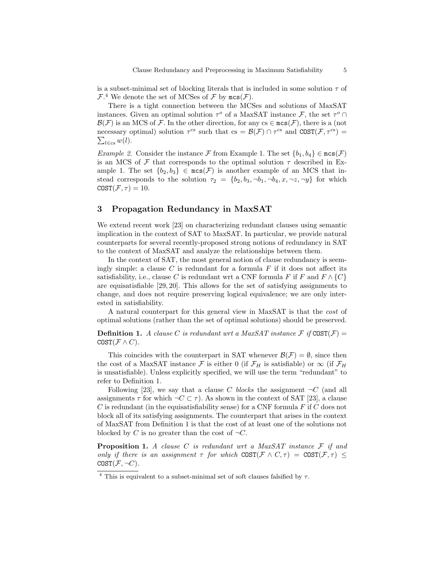is a subset-minimal set of blocking literals that is included in some solution  $\tau$  of  $\mathcal{F}.^4$  We denote the set of MCSes of  $\mathcal F$  by  $\mathsf{mcs}(\mathcal{F}).$ 

There is a tight connection between the MCSes and solutions of MaxSAT instances. Given an optimal solution  $\tau^o$  of a MaxSAT instance  $\mathcal{F}$ , the set  $\tau^o \cap$  $\mathcal{B}(\mathcal{F})$  is an MCS of F. In the other direction, for any  $cs \in \text{mcs}(\mathcal{F})$ , there is a (not necessary optimal) solution  $\tau^{cs}$  such that  $cs = \mathcal{B}(\mathcal{F}) \cap \tau^{cs}$  and  $COST(\mathcal{F}, \tau^{cs}) =$  $\sum_{l \in \text{cs}} w(l)$ .

Example 2. Consider the instance F from Example 1. The set  $\{b_1, b_4\} \in \text{mcs}(\mathcal{F})$ is an MCS of  $\mathcal F$  that corresponds to the optimal solution  $\tau$  described in Example 1. The set  $\{b_2, b_3\} \in \operatorname{mcs}(\mathcal{F})$  is another example of an MCS that instead corresponds to the solution  $\tau_2 = \{b_2, b_3, \neg b_1, \neg b_4, x, \neg z, \neg y\}$  for which  $COST(\mathcal{F}, \tau) = 10.$ 

### 3 Propagation Redundancy in MaxSAT

We extend recent work [23] on characterizing redundant clauses using semantic implication in the context of SAT to MaxSAT. In particular, we provide natural counterparts for several recently-proposed strong notions of redundancy in SAT to the context of MaxSAT and analyze the relationships between them.

In the context of SAT, the most general notion of clause redundancy is seemingly simple: a clause C is redundant for a formula  $F$  if it does not affect its satisfiability, i.e., clause C is redundant wrt a CNF formula F if F and  $F \wedge \{C\}$ are equisatisfiable [29, 20]. This allows for the set of satisfying assignments to change, and does not require preserving logical equivalence; we are only interested in satisfiability.

A natural counterpart for this general view in MaxSAT is that the cost of optimal solutions (rather than the set of optimal solutions) should be preserved.

**Definition 1.** A clause C is redundant wrt a MaxSAT instance  $\mathcal{F}$  if  $COST(\mathcal{F}) =$ COST $(\mathcal{F} \wedge C)$ .

This coincides with the counterpart in SAT whenever  $\mathcal{B}(\mathcal{F}) = \emptyset$ , since then the cost of a MaxSAT instance F is either 0 (if  $\mathcal{F}_H$  is satisfiable) or  $\infty$  (if  $\mathcal{F}_H$ is unsatisfiable). Unless explicitly specified, we will use the term "redundant" to refer to Definition 1.

Following [23], we say that a clause C blocks the assignment  $\neg C$  (and all assignments  $\tau$  for which  $\neg C \subset \tau$ ). As shown in the context of SAT [23], a clause C is redundant (in the equisatisfiability sense) for a CNF formula  $F$  if C does not block all of its satisfying assignments. The counterpart that arises in the context of MaxSAT from Definition 1 is that the cost of at least one of the solutions not blocked by C is no greater than the cost of  $\neg C$ .

**Proposition 1.** A clause C is redundant wrt a MaxSAT instance  $F$  if and only if there is an assignment  $\tau$  for which COST( $\mathcal{F} \wedge C, \tau$ ) = COST( $\mathcal{F}, \tau$ )  $\leq$  $COST(\mathcal{F}, \neg C)$ .

<sup>&</sup>lt;sup>4</sup> This is equivalent to a subset-minimal set of soft clauses falsified by  $\tau$ .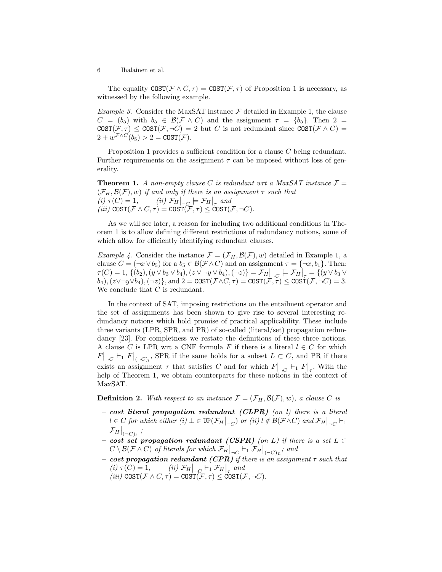The equality  $COST(\mathcal{F} \wedge C, \tau) = COST(\mathcal{F}, \tau)$  of Proposition 1 is necessary, as witnessed by the following example.

*Example 3.* Consider the MaxSAT instance  $\mathcal F$  detailed in Example 1, the clause  $C = (b_5)$  with  $b_5 \in \mathcal{B}(\mathcal{F} \wedge C)$  and the assignment  $\tau = \{b_5\}$ . Then  $2 =$  $COST(\mathcal{F}, \tau) \leq COST(\mathcal{F}, \neg C) = 2$  but C is not redundant since  $COST(\mathcal{F} \wedge C) =$  $2 + w^{\mathcal{F} \wedge C}(b_5) > 2 = \texttt{COST}(\mathcal{F}).$ 

Proposition 1 provides a sufficient condition for a clause C being redundant. Further requirements on the assignment  $\tau$  can be imposed without loss of generality.

**Theorem 1.** A non-empty clause C is redundant wrt a MaxSAT instance  $\mathcal{F} =$  $(\mathcal{F}_H, \mathcal{B}(\mathcal{F}), w)$  if and only if there is an assignment  $\tau$  such that (i)  $\tau(C) = 1$ , (ii)  $\mathcal{F}_H \big|_{-C} \models \mathcal{F}_H \big|_{\tau \in \mathcal{C}}$ (iii)  $\text{COST}(\mathcal{F} \wedge C, \tau) = \text{COST}(\mathcal{F}, \tau) \leq \text{COST}(\mathcal{F}, \neg C).$ 

As we will see later, a reason for including two additional conditions in Theorem 1 is to allow defining different restrictions of redundancy notions, some of which allow for efficiently identifying redundant clauses.

*Example 4.* Consider the instance  $\mathcal{F} = (\mathcal{F}_H, \mathcal{B}(\mathcal{F}), w)$  detailed in Example 1, a clause  $C = (\neg x \lor b_5)$  for a  $b_5 \in \mathcal{B}(\mathcal{F} \land C)$  and an assignment  $\tau = {\neg x, b_1}$ . Then:  $\tau(C) = 1, \{(b_2), (y \vee b_3 \vee b_4), (z \vee \neg y \vee b_4), (\neg z)\} = \mathcal{F}_H \big|_{\neg C} = \mathcal{F}_H \big|_{\tau} = \{(y \vee b_3 \vee b_4), (z \vee \neg y \vee b_4), (z \vee \neg z) \in \mathcal{F}_H \mid_{\tau} \subset \mathcal{F}_H \cup \{\tau \in \mathcal{F}_H\}$  $(b_4), (z \vee \neg y \vee b_4), (\neg z) \},$  and  $2 = \text{COST}(\mathcal{F} \wedge C, \tau) = \text{COST}(\mathcal{F}, \tau) \leq \text{COST}(\mathcal{F}, \neg C) = 3.$ We conclude that  $C$  is redundant.

In the context of SAT, imposing restrictions on the entailment operator and the set of assignments has been shown to give rise to several interesting redundancy notions which hold promise of practical applicability. These include three variants (LPR, SPR, and PR) of so-called (literal/set) propagation redundancy [23]. For completness we restate the definitions of these three notions. A clause C is LPR wrt a CNF formula F if there is a literal  $l \in C$  for which  $F|_{\neg C}$   $\vdash_1 F|_{(\neg C)_l}$ , SPR if the same holds for a subset  $L \subset C$ , and PR if there exists an assignment  $\tau$  that satisfies C and for which  $F|_{-C} \vdash_1 F|_{\tau}$ . With the help of Theorem 1, we obtain counterparts for these notions in the context of MaxSAT.

**Definition 2.** With respect to an instance  $\mathcal{F} = (\mathcal{F}_H, \mathcal{B}(\mathcal{F}), w)$ , a clause C is

- $\; cost \; literal \; propagation \; redundant \; (CLPR) \; (on \; l) \; there \; is \; a \; literal$  $l \in C$  for which either  $(i) \perp \in \mathrm{UP}(\mathcal{F}_H \big|_{\neg C})$  or  $(ii)$   $l \notin \mathcal{B}(\mathcal{F} \wedge C)$  and  $\mathcal{F}_H \big|_{\neg C} \vdash_1$  $\mathcal{F}_H\big|_{(-C)_l}$  ;
- $-$  cost set propagation redundant (CSPR) (on L) if there is a set L ⊂  $C\setminus\mathcal{B}(\mathcal{F}\wedge C)$  of literals for which  $\mathcal{F}_H\big|_{\neg C}\vdash_1\mathcal{F}_H\big|_{(\neg C)_L};$  and
- $\; cost \; propagation \; redundant \;(CPR) \; if \; there \; is \; an \; assignment \; \tau \; such \; that$ (i)  $\tau(C) = 1$ , (ii)  $\mathcal{F}_H \big|_{-C} \vdash_1 \mathcal{F}_H \big|_{\tau}$  and (iii)  $COST(\mathcal{F} \wedge C, \tau) = COST(\mathcal{F}, \tau) \leq COST(\mathcal{F}, \neg C).$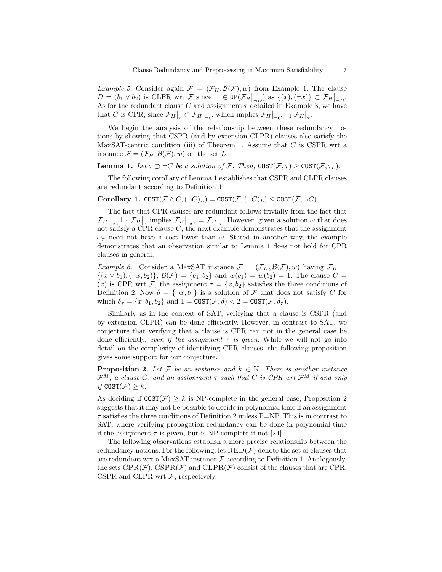*Example 5.* Consider again  $\mathcal{F} = (\mathcal{F}_H, \mathcal{B}(\mathcal{F}), w)$  from Example 1. The clause  $D = (b_1 \vee b_2)$  is CLPR wrt  $\mathcal{F}$  since  $\bot \in \mathrm{UP}(\mathcal{F}_H|_{\neg D})$  as  $\{(x), (\neg x)\} \subset \mathcal{F}_H|_{\neg D}$ . As for the redundant clause C and assignment  $\tau$  detailed in Example 3, we have that C is CPR, since  $\mathcal{F}_H|_{\tau} \subset \mathcal{F}_H|_{\tau_C}$  which implies  $\mathcal{F}_H|_{\tau_C} \vdash_1 \mathcal{F}_H|_{\tau_C}$ .

We begin the analysis of the relationship between these redundancy notions by showing that CSPR (and by extension CLPR) clauses also satisfy the MaxSAT-centric condition (iii) of Theorem 1. Assume that  $C$  is CSPR wrt a instance  $\mathcal{F} = (\mathcal{F}_H, \mathcal{B}(\mathcal{F}), w)$  on the set L.

**Lemma 1.** Let  $\tau \supset \neg C$  be a solution of F. Then,  $COST(\mathcal{F}, \tau) \geq COST(\mathcal{F}, \tau_L)$ .

The following corollary of Lemma 1 establishes that CSPR and CLPR clauses are redundant according to Definition 1.

Corollary 1.  $COST(\mathcal{F} \wedge C, (\neg C)_L) = COST(\mathcal{F}, (\neg C)_L) \leq COST(\mathcal{F}, \neg C)$ .

The fact that CPR clauses are redundant follows trivially from the fact that  $\mathcal{F}_H|_{-C} \vdash_1 \mathcal{F}_H|_{\tau}$  implies  $\mathcal{F}_H|_{-C} \models \mathcal{F}_H|_{\tau}$ . However, given a solution  $\omega$  that does not satisfy a CPR clause  $C$ , the next example demonstrates that the assignment  $\omega_{\tau}$  need not have a cost lower than  $\omega$ . Stated in another way, the example demonstrates that an observation similar to Lemma 1 does not hold for CPR clauses in general.

*Example 6.* Consider a MaxSAT instance  $\mathcal{F} = (\mathcal{F}_H, \mathcal{B}(\mathcal{F}), w)$  having  $\mathcal{F}_H =$  $\{(x \vee b_1), (\neg x, b_2)\}, \mathcal{B}(\mathcal{F}) = \{b_1, b_2\} \text{ and } w(b_1) = w(b_2) = 1. \text{ The clause } C =$ (x) is CPR wrt F, the assignment  $\tau = \{x, b_2\}$  satisfies the three conditions of Definition 2. Now  $\delta = \{\neg x, b_1\}$  is a solution of F that does not satisfy C for which  $\delta_{\tau} = \{x, b_1, b_2\}$  and  $1 = \text{COST}(\mathcal{F}, \delta) < 2 = \text{COST}(\mathcal{F}, \delta_{\tau}).$ 

Similarly as in the context of SAT, verifying that a clause is CSPR (and by extension CLPR) can be done efficiently. However, in contrast to SAT, we conjecture that verifying that a clause is CPR can not in the general case be done efficiently, even if the assignment  $\tau$  is given. While we will not go into detail on the complexity of identifying CPR clauses, the following proposition gives some support for our conjecture.

**Proposition 2.** Let F be an instance and  $k \in \mathbb{N}$ . There is another instance  $\mathcal{F}^M$ , a clause C, and an assignment  $\tau$  such that C is CPR wrt  $\mathcal{F}^M$  if and only if  $COST(\mathcal{F}) > k$ .

As deciding if  $COST(\mathcal{F}) \geq k$  is NP-complete in the general case, Proposition 2 suggests that it may not be possible to decide in polynomial time if an assignment  $\tau$  satisfies the three conditions of Definition 2 unless P=NP. This is in contrast to SAT, where verifying propagation redundancy can be done in polynomial time if the assignment  $\tau$  is given, but is NP-complete if not [24].

The following observations establish a more precise relationship between the redundancy notions. For the following, let  $RED(F)$  denote the set of clauses that are redundant wrt a MaxSAT instance  $\mathcal F$  according to Definition 1. Analogously, the sets  $CPR(\mathcal{F})$ ,  $CSPR(\mathcal{F})$  and  $CLPR(\mathcal{F})$  consist of the clauses that are CPR, CSPR and CLPR wrt  $F$ , respectively.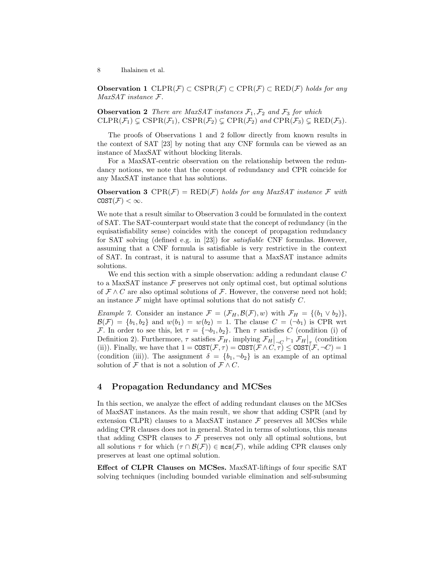**Observation 1** CLPR( $\mathcal{F}$ )  $\subset$  CSPR( $\mathcal{F}$ )  $\subset$  CPR( $\mathcal{F}$ )  $\subset$  RED( $\mathcal{F}$ ) holds for any MaxSAT instance F.

**Observation 2** There are MaxSAT instances  $\mathcal{F}_1$ ,  $\mathcal{F}_2$  and  $\mathcal{F}_3$  for which  $CLPR(\mathcal{F}_1) \subsetneq CSPR(\mathcal{F}_1)$ ,  $CSPR(\mathcal{F}_2) \subsetneq CPR(\mathcal{F}_2)$  and  $CPR(\mathcal{F}_3) \subsetneq RED(\mathcal{F}_3)$ .

The proofs of Observations 1 and 2 follow directly from known results in the context of SAT [23] by noting that any CNF formula can be viewed as an instance of MaxSAT without blocking literals.

For a MaxSAT-centric observation on the relationship between the redundancy notions, we note that the concept of redundancy and CPR coincide for any MaxSAT instance that has solutions.

**Observation 3** CPR( $\mathcal{F}$ ) = RED( $\mathcal{F}$ ) holds for any MaxSAT instance  $\mathcal{F}$  with  $COST(\mathcal{F}) < \infty$ .

We note that a result similar to Observation 3 could be formulated in the context of SAT. The SAT-counterpart would state that the concept of redundancy (in the equisatisfiability sense) coincides with the concept of propagation redundancy for SAT solving (defined e.g. in [23]) for satisfiable CNF formulas. However, assuming that a CNF formula is satisfiable is very restrictive in the context of SAT. In contrast, it is natural to assume that a MaxSAT instance admits solutions.

We end this section with a simple observation: adding a redundant clause C to a MaxSAT instance  $\mathcal F$  preserves not only optimal cost, but optimal solutions of  $\mathcal{F} \wedge C$  are also optimal solutions of  $\mathcal{F}$ . However, the converse need not hold; an instance  $\mathcal F$  might have optimal solutions that do not satisfy  $C$ .

*Example 7.* Consider an instance  $\mathcal{F} = (\mathcal{F}_H, \mathcal{B}(\mathcal{F}), w)$  with  $\mathcal{F}_H = \{(b_1 \vee b_2)\},\$  $\mathcal{B}(\mathcal{F}) = \{b_1, b_2\}$  and  $w(b_1) = w(b_2) = 1$ . The clause  $C = (\neg b_1)$  is CPR wrt F. In order to see this, let  $\tau = {\neg b_1, b_2}$ . Then  $\tau$  satisfies C (condition (i) of Definition 2). Furthermore,  $\tau$  satisfies  $\mathcal{F}_H$ , implying  $\mathcal{F}_H|_{-\mathcal{C}} \vdash_1 \mathcal{F}_H|_{\tau}$  (condition (ii)). Finally, we have that  $1 = \text{COST}(\mathcal{F}, \tau) = \text{COST}(\mathcal{F} \wedge C, \tau) \leq \text{COST}(\mathcal{F}, \neg C) = 1$ (condition (iii)). The assignment  $\delta = \{b_1, \neg b_2\}$  is an example of an optimal solution of  $\mathcal F$  that is not a solution of  $\mathcal F \wedge C$ .

# 4 Propagation Redundancy and MCSes

In this section, we analyze the effect of adding redundant clauses on the MCSes of MaxSAT instances. As the main result, we show that adding CSPR (and by extension CLPR) clauses to a MaxSAT instance  $\mathcal F$  preserves all MCSes while adding CPR clauses does not in general. Stated in terms of solutions, this means that adding CSPR clauses to  $\mathcal F$  preserves not only all optimal solutions, but all solutions  $\tau$  for which  $(\tau \cap \mathcal{B}(\mathcal{F})) \in \text{mcs}(\mathcal{F})$ , while adding CPR clauses only preserves at least one optimal solution.

Effect of CLPR Clauses on MCSes. MaxSAT-liftings of four specific SAT solving techniques (including bounded variable elimination and self-subsuming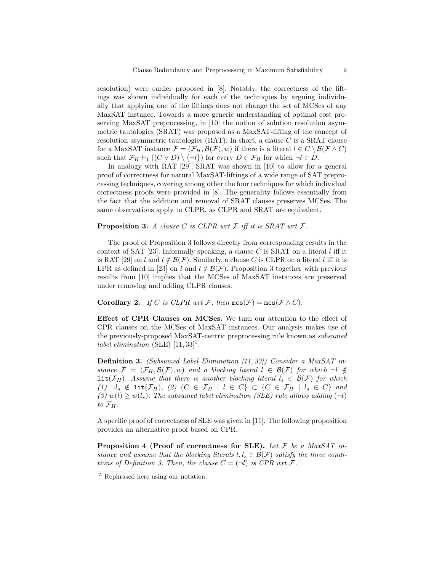resolution) were earlier proposed in [8]. Notably, the correctness of the liftings was shown individually for each of the techniques by arguing individually that applying one of the liftings does not change the set of MCSes of any MaxSAT instance. Towards a more generic understanding of optimal cost preserving MaxSAT preprocessing, in [10] the notion of solution resolution asymmetric tautologies (SRAT) was proposed as a MaxSAT-lifting of the concept of resolution asymmetric tautologies  $(RAT)$ . In short, a clause C is a SRAT clause for a MaxSAT instance  $\mathcal{F} = (\mathcal{F}_H, \mathcal{B}(\mathcal{F}), w)$  if there is a literal  $l \in C \setminus \mathcal{B}(\mathcal{F} \wedge C)$ such that  $\mathcal{F}_H \vdash_1 ((C \vee D) \setminus \{\neg l\})$  for every  $D \in \mathcal{F}_H$  for which  $\neg l \in D$ .

In analogy with RAT [29], SRAT was shown in [10] to allow for a general proof of correctness for natural MaxSAT-liftings of a wide range of SAT preprocessing techniques, covering among other the four techniques for which individual correctness proofs were provided in [8]. The generality follows essentially from the fact that the addition and removal of SRAT clauses preserves MCSes. The same observations apply to CLPR, as CLPR and SRAT are equivalent.

#### **Proposition 3.** A clause C is CLPR wrt  $\mathcal{F}$  iff it is SRAT wrt  $\mathcal{F}$ .

The proof of Proposition 3 follows directly from corresponding results in the context of SAT [23]. Informally speaking, a clause C is SRAT on a literal l iff it is RAT [29] on l and  $l \notin \mathcal{B}(\mathcal{F})$ . Similarly, a clause C is CLPR on a literal l iff it is LPR as defined in [23] on l and  $l \notin \mathcal{B}(F)$ . Proposition 3 together with previous results from [10] implies that the MCSes of MaxSAT instances are preserved under removing and adding CLPR clauses.

**Corollary 2.** If C is CLPR wrt F, then  $\text{mcs}(\mathcal{F}) = \text{mcs}(\mathcal{F} \wedge C)$ .

Effect of CPR Clauses on MCSes. We turn our attention to the effect of CPR clauses on the MCSes of MaxSAT instances. Our analysis makes use of the previously-proposed MaxSAT-centric preprocessing rule known as subsumed label elimination (SLE)  $[11, 33]$ <sup>5</sup>.

Definition 3. (Subsumed Label Elimination [11, 33]) Consider a MaxSAT instance  $\mathcal{F} = (\mathcal{F}_H, \mathcal{B}(\mathcal{F}), w)$  and a blocking literal  $l \in \mathcal{B}(\mathcal{F})$  for which  $\neg l \notin$  $\text{lit}(\mathcal{F}_H)$ . Assume that there is another blocking literal  $l_s \in \mathcal{B}(\mathcal{F})$  for which (1)  $\neg l_s \notin \text{lit}(\mathcal{F}_H)$ , (2)  $\{C \in \mathcal{F}_H | l \in C\} \subset \{C \in \mathcal{F}_H | l_s \in C\}$  and (3)  $w(l) \geq w(l_s)$ . The subsumed label elimination (SLE) rule allows adding  $(\neg l)$ to  $\mathcal{F}_H$ .

A specific proof of correctness of SLE was given in [11]. The following proposition provides an alternative proof based on CPR.

**Proposition 4 (Proof of correctness for SLE).** Let  $\mathcal F$  be a MaxSAT instance and assume that the blocking literals  $l, l_s \in \mathcal{B}(\mathcal{F})$  satisfy the three conditions of Definition 3. Then, the clause  $C = (\neg l)$  is CPR wrt  $\mathcal{F}$ .

<sup>&</sup>lt;sup>5</sup> Rephrased here using our notation.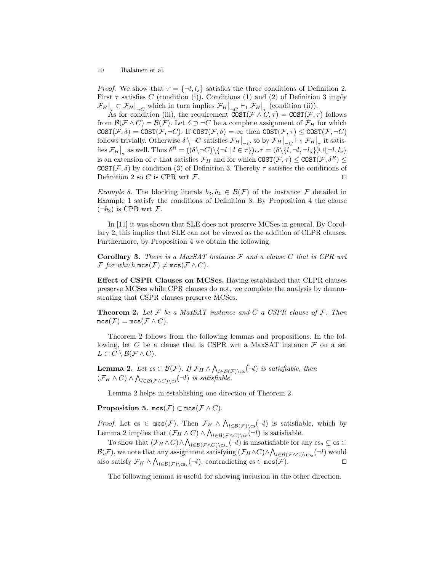*Proof.* We show that  $\tau = \{\neg l, l_s\}$  satisfies the three conditions of Definition 2. First  $\tau$  satisfies C (condition (i)). Conditions (1) and (2) of Definition 3 imply  $\mathcal{F}_H\big|_{\tau} \subset \mathcal{F}_H\big|_{\tau \subset \mathbb{R}}$  which in turn implies  $\mathcal{F}_H\big|_{\tau \subset \mathbb{R}} \subset \mathcal{F}_1$   $\mathcal{F}_H\big|_{\tau}$  (condition (ii)).

As for condition (iii), the requirement  $COST(\mathcal{F} \wedge C, \tau) = COST(\mathcal{F}, \tau)$  follows from  $\mathcal{B}(\mathcal{F} \wedge C) = \mathcal{B}(\mathcal{F})$ . Let  $\delta \supset \neg C$  be a complete assignment of  $\mathcal{F}_H$  for which  $COST(\mathcal{F}, \delta) = COST(\mathcal{F}, \neg C)$ . If  $COST(\mathcal{F}, \delta) = \infty$  then  $COST(\mathcal{F}, \tau) \leq COST(\mathcal{F}, \neg C)$ follows trivially. Otherwise  $\delta \setminus \neg C$  satisfies  $\mathcal{F}_H \big|_{\neg C}$  so by  $\mathcal{F}_H \big|_{\neg C} \vdash_1 \mathcal{F}_H \big|_{\tau}$  it satisfies  $\mathcal{F}_H\big|_{\tau}$  as well. Thus  $\delta^R = ((\delta \setminus \neg C) \setminus \{\neg l \mid l \in \tau\}) \cup \tau = (\delta \setminus \{l, \neg l, \neg l_s\}) \cup \{\neg l, l_s\}$ is an extension of  $\tau$  that satisfies  $\mathcal{F}_H$  and for which  $COST(\mathcal{F}, \tau) \leq COST(\mathcal{F}, \delta^R) \leq$  $COST(\mathcal{F},\delta)$  by condition (3) of Definition 3. Thereby  $\tau$  satisfies the conditions of Definition 2 so C is CPR wrt  $\mathcal{F}$ .

Example 8. The blocking literals  $b_3, b_4 \in \mathcal{B}(\mathcal{F})$  of the instance  $\mathcal F$  detailed in Example 1 satisfy the conditions of Definition 3. By Proposition 4 the clause  $(\neg b_3)$  is CPR wrt F.

In [11] it was shown that SLE does not preserve MCSes in general. By Corollary 2, this implies that SLE can not be viewed as the addition of CLPR clauses. Furthermore, by Proposition 4 we obtain the following.

**Corollary 3.** There is a MaxSAT instance  $\mathcal F$  and a clause C that is CPR wrt  $\mathcal F$  for which  $\mathsf{mcs}(\mathcal F)\neq \mathsf{mcs}(\mathcal F\wedge C)$ .

Effect of CSPR Clauses on MCSes. Having established that CLPR clauses preserve MCSes while CPR clauses do not, we complete the analysis by demonstrating that CSPR clauses preserve MCSes.

**Theorem 2.** Let  $\mathcal F$  be a MaxSAT instance and C a CSPR clause of  $\mathcal F$ . Then  $mcs(\mathcal{F}) = mcs(\mathcal{F} \wedge C).$ 

Theorem 2 follows from the following lemmas and propositions. In the following, let C be a clause that is CSPR wrt a MaxSAT instance  $\mathcal F$  on a set  $L \subset C \setminus \mathcal{B}(F \wedge C).$ 

**Lemma 2.** Let  $cs \subset \mathcal{B}(\mathcal{F})$ . If  $\mathcal{F}_H \wedge \bigwedge_{l \in \mathcal{B}(\mathcal{F}) \setminus cs} (\neg l)$  is satisfiable, then  $(\mathcal{F}_H \wedge C) \wedge \bigwedge_{l \in \mathcal{B}(\mathcal{F} \wedge C) \setminus cs} (\neg l)$  is satisfiable.

Lemma 2 helps in establishing one direction of Theorem 2.

Proposition 5. mcs( $\mathcal{F}$ ) ⊂ mcs( $\mathcal{F} \wedge C$ ).

*Proof.* Let cs  $\in$  mcs(*F*). Then  $\mathcal{F}_H \wedge \bigwedge_{l \in \mathcal{B}(\mathcal{F})\backslash cs} (\neg l)$  is satisfiable, which by Lemma 2 implies that  $(\mathcal{F}_H \wedge C) \wedge \bigwedge_{l \in \mathcal{B}(\mathcal{F} \wedge C) \setminus \text{cs}} (\neg l)$  is satisfiable.

To show that  $(\mathcal{F}_H \wedge C) \wedge \bigwedge_{l \in \mathcal{B}(\mathcal{F} \wedge C) \setminus \text{cs}_s} (\neg l)$  is unsatisfiable for any  $cs_s \subsetneq cs \subset$  $\mathcal{B}(\mathcal{F})$ , we note that any assignment satisfying  $(\mathcal{F}_H \wedge C) \wedge \bigwedge_{l \in \mathcal{B}(\mathcal{F} \wedge C) \setminus \text{cs}_s} (\neg l)$  would also satisfy  $\mathcal{F}_H \wedge \bigwedge_{l \in \mathcal{B}(\mathcal{F}) \setminus \text{cs}_s} (\neg l)$ , contradicting cs  $\in \text{mcs}(\mathcal{F})$ .

The following lemma is useful for showing inclusion in the other direction.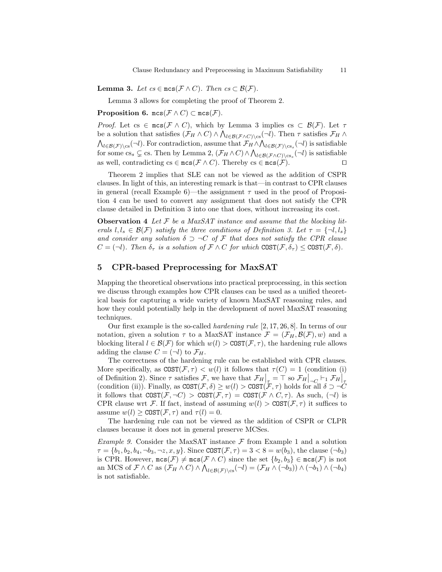**Lemma 3.** Let  $cs \in \text{mcs}(\mathcal{F} \wedge C)$ . Then  $cs \subset \mathcal{B}(\mathcal{F})$ .

Lemma 3 allows for completing the proof of Theorem 2.

Proposition 6. mcs( $\mathcal{F} \wedge C$ ) ⊂ mcs( $\mathcal{F}$ ).

*Proof.* Let cs  $\in$  mcs( $\mathcal{F} \wedge C$ ), which by Lemma 3 implies cs  $\subset \mathcal{B}(\mathcal{F})$ . Let  $\tau$ be a solution that satisfies  $(\mathcal{F}_H \wedge C) \wedge \bigwedge_{l \in \mathcal{B}(\mathcal{F} \wedge C) \setminus cs} (\neg l)$ . Then  $\tau$  satisfies  $\mathcal{F}_H \wedge$  $\bigwedge_{l\in\mathcal{B}(\mathcal{F})\backslash\text{cs}}(\neg l)$ . For contradiction, assume that  $\mathcal{F}_H \wedge \bigwedge_{l\in\mathcal{B}(\mathcal{F})\backslash\text{cs}_s}(\neg l)$  is satisfiable for some cs<sub>s</sub>  $\subsetneq$  cs. Then by Lemma 2,  $(\mathcal{F}_H \wedge C) \wedge \bigwedge_{l \in \mathcal{B}(\mathcal{F} \wedge C) \setminus cs_s} (\neg l)$  is satisfiable as well, contradicting cs  $\in$  mcs( $\mathcal{F} \wedge C$ ). Thereby cs  $\in$  mcs( $\mathcal{F}$ ).

Theorem 2 implies that SLE can not be viewed as the addition of CSPR clauses. In light of this, an interesting remark is that—in contrast to CPR clauses in general (recall Example 6)—the assignment  $\tau$  used in the proof of Proposition 4 can be used to convert any assignment that does not satisfy the CPR clause detailed in Definition 3 into one that does, without increasing its cost.

**Observation 4** Let  $F$  be a MaxSAT instance and assume that the blocking literals  $l, l_s \in \mathcal{B}(\mathcal{F})$  satisfy the three conditions of Definition 3. Let  $\tau = \{\neg l, l_s\}$ and consider any solution  $\delta \supset \neg C$  of F that does not satisfy the CPR clause  $C = (\neg l)$ . Then  $\delta_{\tau}$  is a solution of  $\mathcal{F} \wedge C$  for which COST $(\mathcal{F}, \delta_{\tau}) \leq \text{COST}(\mathcal{F}, \delta)$ .

# 5 CPR-based Preprocessing for MaxSAT

Mapping the theoretical observations into practical preprocessing, in this section we discuss through examples how CPR clauses can be used as a unified theoretical basis for capturing a wide variety of known MaxSAT reasoning rules, and how they could potentially help in the development of novel MaxSAT reasoning techniques.

Our first example is the so-called hardening rule [2, 17, 26, 8]. In terms of our notation, given a solution  $\tau$  to a MaxSAT instance  $\mathcal{F} = (\mathcal{F}_H, \mathcal{B}(\mathcal{F}), w)$  and a blocking literal  $l \in \mathcal{B}(\mathcal{F})$  for which  $w(l) > \text{COST}(\mathcal{F}, \tau)$ , the hardening rule allows adding the clause  $C = (\neg l)$  to  $\mathcal{F}_H$ .

The correctness of the hardening rule can be established with CPR clauses. More specifically, as  $COST(\mathcal{F}, \tau) < w(l)$  it follows that  $\tau(C) = 1$  (condition (i) of Definition 2). Since  $\tau$  satisfies  $\mathcal{F}$ , we have that  $\mathcal{F}_H\Big|_{\tau} = \top$  so  $\mathcal{F}_H\Big|_{\tau \subset \tau} \vdash_1 \mathcal{F}_H\Big|_{\tau}$ (condition (ii)). Finally, as  $COST(\mathcal{F}, \delta) \geq w(l) > COST(\mathcal{F}, \tau)$  holds for all  $\delta \supset \neg C$ it follows that  $COST(\mathcal{F}, \neg C) > COST(\mathcal{F}, \tau) = COST(\mathcal{F} \wedge C, \tau)$ . As such,  $(\neg l)$  is CPR clause wrt F. If fact, instead of assuming  $w(l) > \text{COST}(\mathcal{F}, \tau)$  it suffices to assume  $w(l) \geq \text{COST}(\mathcal{F}, \tau)$  and  $\tau(l) = 0$ .

The hardening rule can not be viewed as the addition of CSPR or CLPR clauses because it does not in general preserve MCSes.

Example 9. Consider the MaxSAT instance  $\mathcal F$  from Example 1 and a solution  $\tau = \{b_1, b_2, b_4, \neg b_3, \neg z, x, y\}$ . Since  $COST(\mathcal{F}, \tau) = 3 < 8 = w(b_3)$ , the clause  $(\neg b_3)$ is CPR. However,  $\mathsf{mcs}(\mathcal{F}) \neq \mathsf{mcs}(\mathcal{F} \wedge C)$  since the set  $\{b_2, b_3\} \in \mathsf{mcs}(\mathcal{F})$  is not an MCS of  $\mathcal{F} \wedge C$  as  $(\mathcal{F}_H \wedge C) \wedge \bigwedge_{l \in \mathcal{B}(\mathcal{F})\backslash \text{cs}} (\neg l) = (\mathcal{F}_H \wedge (\neg b_3)) \wedge (\neg b_1) \wedge (\neg b_4)$ is not satisfiable.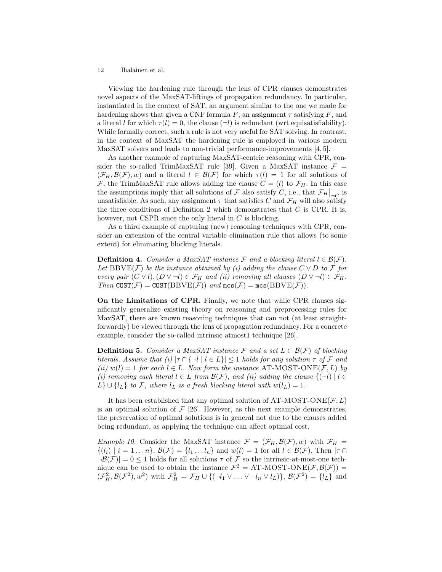Viewing the hardening rule through the lens of CPR clauses demonstrates novel aspects of the MaxSAT-liftings of propagation redundancy. In particular, instantiated in the context of SAT, an argument similar to the one we made for hardening shows that given a CNF formula F, an assignment  $\tau$  satisfying F, and a literal l for which  $\tau(l) = 0$ , the clause  $(\neg l)$  is redundant (wrt equisatisfiability). While formally correct, such a rule is not very useful for SAT solving. In contrast, in the context of MaxSAT the hardening rule is employed in various modern MaxSAT solvers and leads to non-trivial performance-improvements [4, 5].

As another example of capturing MaxSAT-centric reasoning with CPR, consider the so-called TrimMaxSAT rule [39]. Given a MaxSAT instance  $\mathcal{F} =$  $(\mathcal{F}_H, \mathcal{B}(\mathcal{F}), w)$  and a literal  $l \in \mathcal{B}(\mathcal{F})$  for which  $\tau(l) = 1$  for all solutions of  $\mathcal{F}$ , the TrimMaxSAT rule allows adding the clause  $C = (l)$  to  $\mathcal{F}_H$ . In this case the assumptions imply that all solutions of  $\mathcal F$  also satisfy C, i.e., that  $\mathcal F_H|_{\neg C}$  is unsatisfiable. As such, any assignment  $\tau$  that satisfies C and  $\mathcal{F}_H$  will also satisfy the three conditions of Definition 2 which demonstrates that  $C$  is CPR. It is, however, not CSPR since the only literal in  $C$  is blocking.

As a third example of capturing (new) reasoning techniques with CPR, consider an extension of the central variable elimination rule that allows (to some extent) for eliminating blocking literals.

**Definition 4.** Consider a MaxSAT instance F and a blocking literal  $l \in \mathcal{B}(\mathcal{F})$ . Let BBVE( $\mathcal{F}$ ) be the instance obtained by (i) adding the clause  $C \vee D$  to  $\mathcal{F}$  for every pair  $(C \vee l), (D \vee \neg l) \in \mathcal{F}_H$  and (ii) removing all clauses  $(D \vee \neg l) \in \mathcal{F}_H$ . Then  $\text{COST}(\mathcal{F}) = \text{COST}(\text{BBVE}(\mathcal{F}))$  and  $\text{mcs}(\mathcal{F}) = \text{mcs}(\text{BBVE}(\mathcal{F})).$ 

On the Limitations of CPR. Finally, we note that while CPR clauses significantly generalize existing theory on reasoning and preprocessing rules for MaxSAT, there are known reasoning techniques that can not (at least straightforwardly) be viewed through the lens of propagation redundancy. For a concrete example, consider the so-called intrinsic atmost1 technique [26].

**Definition 5.** Consider a MaxSAT instance F and a set  $L \subset \mathcal{B}(\mathcal{F})$  of blocking literals. Assume that (i)  $|\tau \cap \{\neg l \mid l \in L\}| \leq 1$  holds for any solution  $\tau$  of  $\mathcal F$  and (ii)  $w(l) = 1$  for each  $l \in L$ . Now form the instance AT-MOST-ONE(F, L) by (i) removing each literal  $l \in L$  from  $\mathcal{B}(\mathcal{F})$ , and (ii) adding the clause  $\{(\neg l) | l \in L\}$ L}  $\cup$  { $l_L$ } to F, where  $l_L$  is a fresh blocking literal with  $w(l_L) = 1$ .

It has been established that any optimal solution of AT-MOST-ONE( $\mathcal{F}, L$ ) is an optimal solution of  $\mathcal{F}$  [26]. However, as the next example demonstrates, the preservation of optimal solutions is in general not due to the clauses added being redundant, as applying the technique can affect optimal cost.

*Example 10.* Consider the MaxSAT instance  $\mathcal{F} = (\mathcal{F}_H, \mathcal{B}(\mathcal{F}), w)$  with  $\mathcal{F}_H =$  $\{(l_i) \mid i = 1 \ldots n\}, \mathcal{B}(\mathcal{F}) = \{l_1 \ldots l_n\}$  and  $w(l) = 1$  for all  $l \in \mathcal{B}(\mathcal{F})$ . Then  $|\tau \cap \tau|$  $\neg \mathcal{B}(\mathcal{F})$  = 0  $\leq$  1 holds for all solutions  $\tau$  of  $\mathcal F$  so the intrinsic-at-most-one technique can be used to obtain the instance  $\mathcal{F}^2 = AT-MOST\text{-}ONE(\mathcal{F}, \mathcal{B}(\mathcal{F})) =$  $(\mathcal{F}_H^2, \mathcal{B}(\mathcal{F}^2), w^2)$  with  $\mathcal{F}_H^2 = \mathcal{F}_H \cup \{(\neg l_1 \vee \dots \vee \neg l_n \vee l_L)\}, \mathcal{B}(\mathcal{F}^2) = \{l_L\}$  and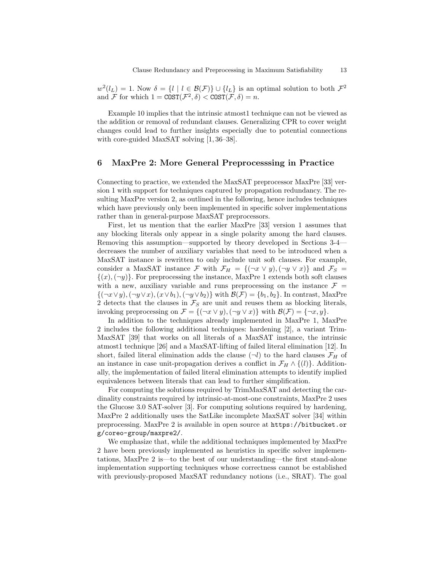$w^2(l_L) = 1$ . Now  $\delta = \{l \mid l \in \mathcal{B}(\mathcal{F})\} \cup \{l_L\}$  is an optimal solution to both  $\mathcal{F}^2$ and F for which  $1 = \text{COST}(\mathcal{F}^2, \delta) < \text{COST}(\mathcal{F}, \delta) = n$ .

Example 10 implies that the intrinsic atmost1 technique can not be viewed as the addition or removal of redundant clauses. Generalizing CPR to cover weight changes could lead to further insights especially due to potential connections with core-guided MaxSAT solving [1, 36–38].

# 6 MaxPre 2: More General Preprocesssing in Practice

Connecting to practice, we extended the MaxSAT preprocessor MaxPre [33] version 1 with support for techniques captured by propagation redundancy. The resulting MaxPre version 2, as outlined in the following, hence includes techniques which have previously only been implemented in specific solver implementations rather than in general-purpose MaxSAT preprocessors.

First, let us mention that the earlier MaxPre [33] version 1 assumes that any blocking literals only appear in a single polarity among the hard clauses. Removing this assumption—supported by theory developed in Sections 3-4 decreases the number of auxiliary variables that need to be introduced when a MaxSAT instance is rewritten to only include unit soft clauses. For example, consider a MaxSAT instance F with  $\mathcal{F}_H = \{(\neg x \lor y), (\neg y \lor x)\}\$ and  $\mathcal{F}_S =$  $\{(x),(\neg y)\}\.$  For preprocessing the instance, MaxPre 1 extends both soft clauses with a new, auxiliary variable and runs preprocessing on the instance  $\mathcal{F} =$  $\{(\neg x \lor y), (\neg y \lor x), (x \lor b_1), (\neg y \lor b_2)\}\$  with  $\mathcal{B}(\mathcal{F}) = \{b_1, b_2\}$ . In contrast, MaxPre 2 detects that the clauses in  $\mathcal{F}_S$  are unit and reuses them as blocking literals, invoking preprocessing on  $\mathcal{F} = \{(\neg x \lor y), (\neg y \lor x)\}\$ with  $\mathcal{B}(\mathcal{F}) = \{\neg x, y\}.$ 

In addition to the techniques already implemented in MaxPre 1, MaxPre 2 includes the following additional techniques: hardening [2], a variant Trim-MaxSAT [39] that works on all literals of a MaxSAT instance, the intrinsic atmost1 technique [26] and a MaxSAT-lifting of failed literal elimination [12]. In short, failed literal elimination adds the clause  $(\neg l)$  to the hard clauses  $\mathcal{F}_H$  of an instance in case unit-propagation derives a conflict in  $\mathcal{F}_H \wedge \{l\}$ . Additionally, the implementation of failed literal elimination attempts to identify implied equivalences between literals that can lead to further simplification.

For computing the solutions required by TrimMaxSAT and detecting the cardinality constraints required by intrinsic-at-most-one constraints, MaxPre 2 uses the Glucose 3.0 SAT-solver [3]. For computing solutions required by hardening, MaxPre 2 additionally uses the SatLike incomplete MaxSAT solver [34] within preprocessing. MaxPre 2 is available in open source at https://bitbucket.or g/coreo-group/maxpre2/.

We emphasize that, while the additional techniques implemented by MaxPre 2 have been previously implemented as heuristics in specific solver implementations, MaxPre 2 is—to the best of our understanding—the first stand-alone implementation supporting techniques whose correctness cannot be established with previously-proposed MaxSAT redundancy notions (i.e., SRAT). The goal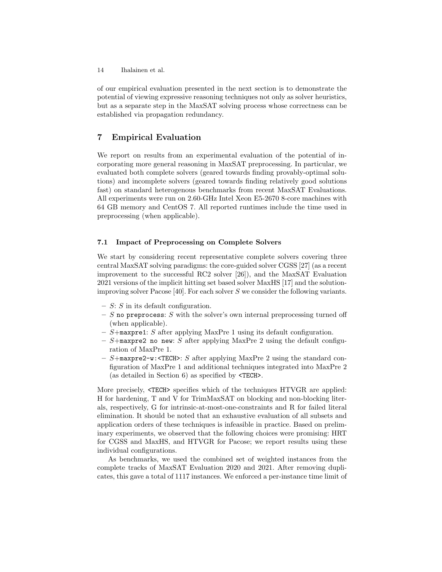of our empirical evaluation presented in the next section is to demonstrate the potential of viewing expressive reasoning techniques not only as solver heuristics, but as a separate step in the MaxSAT solving process whose correctness can be established via propagation redundancy.

# 7 Empirical Evaluation

We report on results from an experimental evaluation of the potential of incorporating more general reasoning in MaxSAT preprocessing. In particular, we evaluated both complete solvers (geared towards finding provably-optimal solutions) and incomplete solvers (geared towards finding relatively good solutions fast) on standard heterogenous benchmarks from recent MaxSAT Evaluations. All experiments were run on 2.60-GHz Intel Xeon E5-2670 8-core machines with 64 GB memory and CentOS 7. All reported runtimes include the time used in preprocessing (when applicable).

### 7.1 Impact of Preprocessing on Complete Solvers

We start by considering recent representative complete solvers covering three central MaxSAT solving paradigms: the core-guided solver CGSS [27] (as a recent improvement to the successful RC2 solver [26]), and the MaxSAT Evaluation 2021 versions of the implicit hitting set based solver MaxHS [17] and the solutionimproving solver Pacose [40]. For each solver  $S$  we consider the following variants.

- $S: S$  in its default configuration.
- S no preprocess: S with the solver's own internal preprocessing turned off (when applicable).
- $-$  S+maxpre1: S after applying MaxPre 1 using its default configuration.
- $S+$ maxpre2 no new: S after applying MaxPre 2 using the default configuration of MaxPre 1.
- $-$  S+maxpre2-w: <TECH>: S after applying MaxPre 2 using the standard configuration of MaxPre 1 and additional techniques integrated into MaxPre 2 (as detailed in Section 6) as specified by <TECH>.

More precisely,  $\langle TECH \rangle$  specifies which of the techniques HTVGR are applied: H for hardening, T and V for TrimMaxSAT on blocking and non-blocking literals, respectively, G for intrinsic-at-most-one-constraints and R for failed literal elimination. It should be noted that an exhaustive evaluation of all subsets and application orders of these techniques is infeasible in practice. Based on preliminary experiments, we observed that the following choices were promising: HRT for CGSS and MaxHS, and HTVGR for Pacose; we report results using these individual configurations.

As benchmarks, we used the combined set of weighted instances from the complete tracks of MaxSAT Evaluation 2020 and 2021. After removing duplicates, this gave a total of 1117 instances. We enforced a per-instance time limit of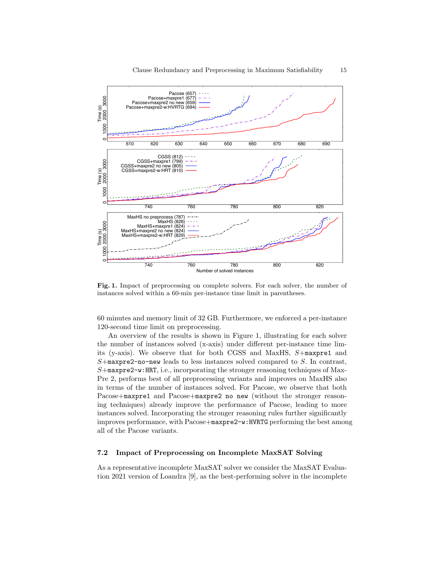

Fig. 1. Impact of preprocessing on complete solvers. For each solver, the number of instances solved within a 60-min per-instance time limit in parentheses.

60 minutes and memory limit of 32 GB. Furthermore, we enforced a per-instance 120-second time limit on preprocessing.

An overview of the results is shown in Figure 1, illustrating for each solver the number of instances solved (x-axis) under different per-instance time limits (y-axis). We observe that for both CGSS and MaxHS, S+maxpre1 and  $S+$ maxpre2-no-new leads to less instances solved compared to  $S$ . In contrast,  $S+$ maxpre2-w:HRT, i.e., incorporating the stronger reasoning techniques of Max-Pre 2, performs best of all preprocessing variants and improves on MaxHS also in terms of the number of instances solved. For Pacose, we observe that both Pacose+maxpre1 and Pacose+maxpre2 no new (without the stronger reasoning techniques) already improve the performance of Pacose, leading to more instances solved. Incorporating the stronger reasoning rules further significantly improves performance, with Pacose+maxpre2-w:HVRTG performing the best among all of the Pacose variants.

# 7.2 Impact of Preprocessing on Incomplete MaxSAT Solving

As a representative incomplete MaxSAT solver we consider the MaxSAT Evaluation 2021 version of Loandra [9], as the best-performing solver in the incomplete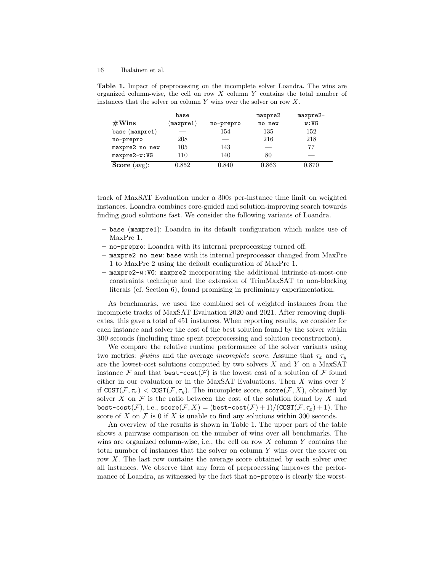| $#W$ ins         | base<br>$(\texttt{maxpre1})$ | no-prepro | maxpre2<br>no new | maxpre2-<br>w:VG |
|------------------|------------------------------|-----------|-------------------|------------------|
| base (maxpre1)   |                              | 154       | 135               | 152              |
| no-prepro        | 208                          |           | 216               | 218              |
| $maxpre2$ no new | 105                          | 143       |                   | 77               |
| maxpre2-w:VG     | 110                          | 140       | 80                |                  |
| Score<br>(avg):  | 0.852                        | 0.840     | 0.863             | 0.870            |

Table 1. Impact of preprocessing on the incomplete solver Loandra. The wins are organized column-wise, the cell on row  $X$  column  $Y$  contains the total number of instances that the solver on column  $Y$  wins over the solver on row  $X$ .

track of MaxSAT Evaluation under a 300s per-instance time limit on weighted instances. Loandra combines core-guided and solution-improving search towards finding good solutions fast. We consider the following variants of Loandra.

- base (maxpre1): Loandra in its default configuration which makes use of MaxPre 1.
- no-prepro: Loandra with its internal preprocessing turned off.
- maxpre2 no new: base with its internal preprocessor changed from MaxPre 1 to MaxPre 2 using the default configuration of MaxPre 1.
- maxpre2-w:VG: maxpre2 incorporating the additional intrinsic-at-most-one constraints technique and the extension of TrimMaxSAT to non-blocking literals (cf. Section 6), found promising in preliminary experimentation.

As benchmarks, we used the combined set of weighted instances from the incomplete tracks of MaxSAT Evaluation 2020 and 2021. After removing duplicates, this gave a total of 451 instances. When reporting results, we consider for each instance and solver the cost of the best solution found by the solver within 300 seconds (including time spent preprocessing and solution reconstruction).

We compare the relative runtime performance of the solver variants using two metrics:  $\# wins$  and the average *incomplete score*. Assume that  $\tau_x$  and  $\tau_y$ are the lowest-cost solutions computed by two solvers  $X$  and  $Y$  on a MaxSAT instance F and that  $\texttt{best-cost}(\mathcal{F})$  is the lowest cost of a solution of F found either in our evaluation or in the MaxSAT Evaluations. Then X wins over Y if  $COST(\mathcal{F}, \tau_x) < \text{COST}(\mathcal{F}, \tau_y)$ . The incomplete score, score $(\mathcal{F}, X)$ , obtained by solver X on  $\mathcal F$  is the ratio between the cost of the solution found by X and best-cost(F), i.e.,  $score(\mathcal{F}, X) = (best-cost(\mathcal{F}) + 1)/(COST(\mathcal{F}, \tau_x) + 1)$ . The score of X on  $\mathcal F$  is 0 if X is unable to find any solutions within 300 seconds.

An overview of the results is shown in Table 1. The upper part of the table shows a pairwise comparison on the number of wins over all benchmarks. The wins are organized column-wise, i.e., the cell on row  $X$  column  $Y$  contains the total number of instances that the solver on column Y wins over the solver on row X. The last row contains the average score obtained by each solver over all instances. We observe that any form of preprocessing improves the performance of Loandra, as witnessed by the fact that no-prepro is clearly the worst-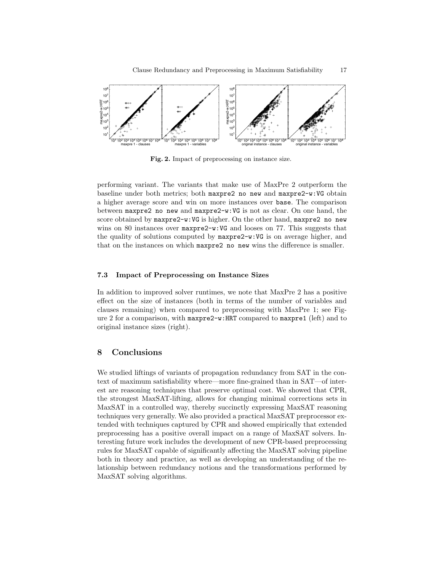

Fig. 2. Impact of preprocessing on instance size.

performing variant. The variants that make use of MaxPre 2 outperform the baseline under both metrics; both maxpre2 no new and maxpre2-w:VG obtain a higher average score and win on more instances over base. The comparison between maxpre2 no new and maxpre2-w:VG is not as clear. On one hand, the score obtained by maxpre2-w: VG is higher. On the other hand, maxpre2 no new wins on 80 instances over  $maxpre2-w:VG$  and looses on 77. This suggests that the quality of solutions computed by maxpre2-w:VG is on average higher, and that on the instances on which maxpre2 no new wins the difference is smaller.

#### 7.3 Impact of Preprocessing on Instance Sizes

In addition to improved solver runtimes, we note that MaxPre 2 has a positive effect on the size of instances (both in terms of the number of variables and clauses remaining) when compared to preprocessing with MaxPre 1; see Figure 2 for a comparison, with maxpre2-w:HRT compared to maxpre1 (left) and to original instance sizes (right).

# 8 Conclusions

We studied liftings of variants of propagation redundancy from SAT in the context of maximum satisfiability where—more fine-grained than in SAT—of interest are reasoning techniques that preserve optimal cost. We showed that CPR, the strongest MaxSAT-lifting, allows for changing minimal corrections sets in MaxSAT in a controlled way, thereby succinctly expressing MaxSAT reasoning techniques very generally. We also provided a practical MaxSAT preprocessor extended with techniques captured by CPR and showed empirically that extended preprocessing has a positive overall impact on a range of MaxSAT solvers. Interesting future work includes the development of new CPR-based preprocessing rules for MaxSAT capable of significantly affecting the MaxSAT solving pipeline both in theory and practice, as well as developing an understanding of the relationship between redundancy notions and the transformations performed by MaxSAT solving algorithms.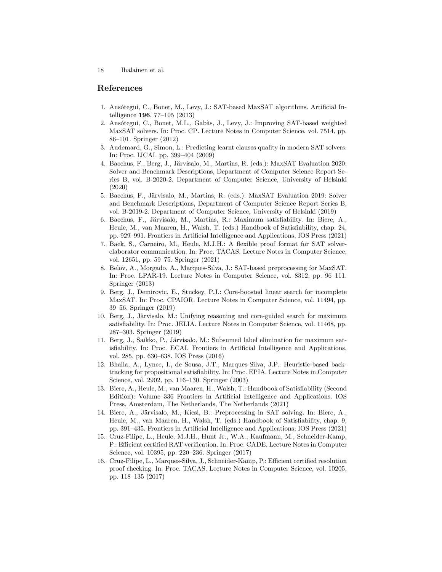# References

- 1. Ansótegui, C., Bonet, M., Levy, J.: SAT-based MaxSAT algorithms. Artificial Intelligence 196, 77–105 (2013)
- 2. Ansótegui, C., Bonet, M.L., Gabàs, J., Levy, J.: Improving SAT-based weighted MaxSAT solvers. In: Proc. CP. Lecture Notes in Computer Science, vol. 7514, pp. 86–101. Springer (2012)
- 3. Audemard, G., Simon, L.: Predicting learnt clauses quality in modern SAT solvers. In: Proc. IJCAI. pp. 399–404 (2009)
- 4. Bacchus, F., Berg, J., Järvisalo, M., Martins, R. (eds.): MaxSAT Evaluation 2020: Solver and Benchmark Descriptions, Department of Computer Science Report Series B, vol. B-2020-2. Department of Computer Science, University of Helsinki (2020)
- 5. Bacchus, F., Järvisalo, M., Martins, R. (eds.): MaxSAT Evaluation 2019: Solver and Benchmark Descriptions, Department of Computer Science Report Series B, vol. B-2019-2. Department of Computer Science, University of Helsinki (2019)
- 6. Bacchus, F., Järvisalo, M., Martins, R.: Maximum satisfiability. In: Biere, A., Heule, M., van Maaren, H., Walsh, T. (eds.) Handbook of Satisfiability, chap. 24, pp. 929–991. Frontiers in Artificial Intelligence and Applications, IOS Press (2021)
- 7. Baek, S., Carneiro, M., Heule, M.J.H.: A flexible proof format for SAT solverelaborator communication. In: Proc. TACAS. Lecture Notes in Computer Science, vol. 12651, pp. 59–75. Springer (2021)
- 8. Belov, A., Morgado, A., Marques-Silva, J.: SAT-based preprocessing for MaxSAT. In: Proc. LPAR-19. Lecture Notes in Computer Science, vol. 8312, pp. 96–111. Springer (2013)
- 9. Berg, J., Demirovic, E., Stuckey, P.J.: Core-boosted linear search for incomplete MaxSAT. In: Proc. CPAIOR. Lecture Notes in Computer Science, vol. 11494, pp. 39–56. Springer (2019)
- 10. Berg, J., Järvisalo, M.: Unifying reasoning and core-guided search for maximum satisfiability. In: Proc. JELIA. Lecture Notes in Computer Science, vol. 11468, pp. 287–303. Springer (2019)
- 11. Berg, J., Saikko, P., Järvisalo, M.: Subsumed label elimination for maximum satisfiability. In: Proc. ECAI. Frontiers in Artificial Intelligence and Applications, vol. 285, pp. 630–638. IOS Press (2016)
- 12. Bhalla, A., Lynce, I., de Sousa, J.T., Marques-Silva, J.P.: Heuristic-based backtracking for propositional satisfiability. In: Proc. EPIA. Lecture Notes in Computer Science, vol. 2902, pp. 116–130. Springer (2003)
- 13. Biere, A., Heule, M., van Maaren, H., Walsh, T.: Handbook of Satisfiability (Second Edition): Volume 336 Frontiers in Artificial Intelligence and Applications. IOS Press, Amsterdam, The Netherlands, The Netherlands (2021)
- 14. Biere, A., Järvisalo, M., Kiesl, B.: Preprocessing in SAT solving. In: Biere, A., Heule, M., van Maaren, H., Walsh, T. (eds.) Handbook of Satisfiability, chap. 9, pp. 391–435. Frontiers in Artificial Intelligence and Applications, IOS Press (2021)
- 15. Cruz-Filipe, L., Heule, M.J.H., Hunt Jr., W.A., Kaufmann, M., Schneider-Kamp, P.: Efficient certified RAT verification. In: Proc. CADE. Lecture Notes in Computer Science, vol. 10395, pp. 220–236. Springer (2017)
- 16. Cruz-Filipe, L., Marques-Silva, J., Schneider-Kamp, P.: Efficient certified resolution proof checking. In: Proc. TACAS. Lecture Notes in Computer Science, vol. 10205, pp. 118–135 (2017)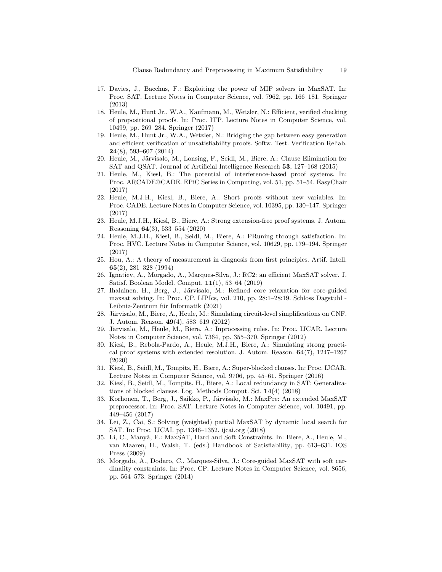- 17. Davies, J., Bacchus, F.: Exploiting the power of MIP solvers in MaxSAT. In: Proc. SAT. Lecture Notes in Computer Science, vol. 7962, pp. 166–181. Springer (2013)
- 18. Heule, M., Hunt Jr., W.A., Kaufmann, M., Wetzler, N.: Efficient, verified checking of propositional proofs. In: Proc. ITP. Lecture Notes in Computer Science, vol. 10499, pp. 269–284. Springer (2017)
- 19. Heule, M., Hunt Jr., W.A., Wetzler, N.: Bridging the gap between easy generation and efficient verification of unsatisfiability proofs. Softw. Test. Verification Reliab. 24(8), 593–607 (2014)
- 20. Heule, M., Järvisalo, M., Lonsing, F., Seidl, M., Biere, A.: Clause Elimination for SAT and QSAT. Journal of Artificial Intelligence Research 53, 127–168 (2015)
- 21. Heule, M., Kiesl, B.: The potential of interference-based proof systems. In: Proc. ARCADE@CADE. EPiC Series in Computing, vol. 51, pp. 51–54. EasyChair (2017)
- 22. Heule, M.J.H., Kiesl, B., Biere, A.: Short proofs without new variables. In: Proc. CADE. Lecture Notes in Computer Science, vol. 10395, pp. 130–147. Springer (2017)
- 23. Heule, M.J.H., Kiesl, B., Biere, A.: Strong extension-free proof systems. J. Autom. Reasoning 64(3), 533–554 (2020)
- 24. Heule, M.J.H., Kiesl, B., Seidl, M., Biere, A.: PRuning through satisfaction. In: Proc. HVC. Lecture Notes in Computer Science, vol. 10629, pp. 179–194. Springer (2017)
- 25. Hou, A.: A theory of measurement in diagnosis from first principles. Artif. Intell. 65(2), 281–328 (1994)
- 26. Ignatiev, A., Morgado, A., Marques-Silva, J.: RC2: an efficient MaxSAT solver. J. Satisf. Boolean Model. Comput. 11(1), 53–64 (2019)
- 27. Ihalainen, H., Berg, J., Järvisalo, M.: Refined core relaxation for core-guided maxsat solving. In: Proc. CP. LIPIcs, vol. 210, pp. 28:1–28:19. Schloss Dagstuhl - Leibniz-Zentrum für Informatik (2021)
- 28. Järvisalo, M., Biere, A., Heule, M.: Simulating circuit-level simplifications on CNF. J. Autom. Reason. 49(4), 583–619 (2012)
- 29. Järvisalo, M., Heule, M., Biere, A.: Inprocessing rules. In: Proc. IJCAR. Lecture Notes in Computer Science, vol. 7364, pp. 355–370. Springer (2012)
- 30. Kiesl, B., Rebola-Pardo, A., Heule, M.J.H., Biere, A.: Simulating strong practical proof systems with extended resolution. J. Autom. Reason.  $64(7)$ ,  $1247-1267$ (2020)
- 31. Kiesl, B., Seidl, M., Tompits, H., Biere, A.: Super-blocked clauses. In: Proc. IJCAR. Lecture Notes in Computer Science, vol. 9706, pp. 45–61. Springer (2016)
- 32. Kiesl, B., Seidl, M., Tompits, H., Biere, A.: Local redundancy in SAT: Generalizations of blocked clauses. Log. Methods Comput. Sci. 14(4) (2018)
- 33. Korhonen, T., Berg, J., Saikko, P., Järvisalo, M.: MaxPre: An extended MaxSAT preprocessor. In: Proc. SAT. Lecture Notes in Computer Science, vol. 10491, pp. 449–456 (2017)
- 34. Lei, Z., Cai, S.: Solving (weighted) partial MaxSAT by dynamic local search for SAT. In: Proc. IJCAI. pp. 1346–1352. ijcai.org (2018)
- 35. Li, C., Many`a, F.: MaxSAT, Hard and Soft Constraints. In: Biere, A., Heule, M., van Maaren, H., Walsh, T. (eds.) Handbook of Satisfiability, pp. 613–631. IOS Press (2009)
- 36. Morgado, A., Dodaro, C., Marques-Silva, J.: Core-guided MaxSAT with soft cardinality constraints. In: Proc. CP. Lecture Notes in Computer Science, vol. 8656, pp. 564–573. Springer (2014)